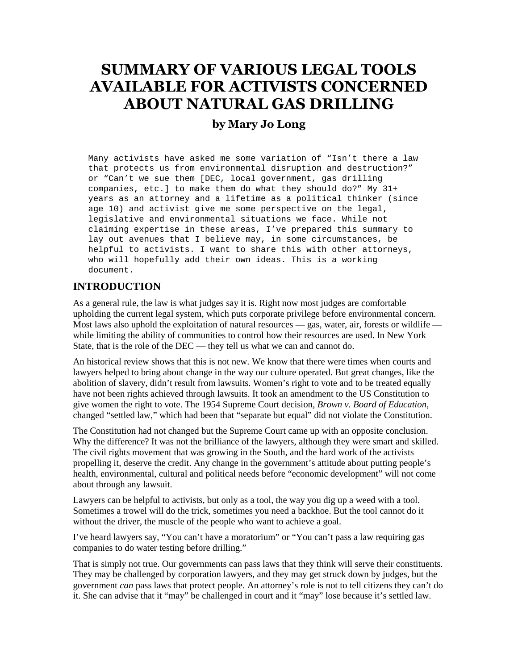## **SUMMARY OF VARIOUS LEGAL TOOLS AVAILABLE FOR ACTIVISTS CONCERNED ABOUT NATURAL GAS DRILLING**

## **by Mary Jo Long**

Many activists have asked me some variation of "Isn't there a law that protects us from environmental disruption and destruction?" or "Can't we sue them [DEC, local government, gas drilling companies, etc.] to make them do what they should do?" My 31+ years as an attorney and a lifetime as a political thinker (since age 10) and activist give me some perspective on the legal, legislative and environmental situations we face. While not claiming expertise in these areas, I've prepared this summary to lay out avenues that I believe may, in some circumstances, be helpful to activists. I want to share this with other attorneys, who will hopefully add their own ideas. This is a working document.

### **INTRODUCTION**

As a general rule, the law is what judges say it is. Right now most judges are comfortable upholding the current legal system, which puts corporate privilege before environmental concern. Most laws also uphold the exploitation of natural resources — gas, water, air, forests or wildlife while limiting the ability of communities to control how their resources are used. In New York State, that is the role of the DEC — they tell us what we can and cannot do.

An historical review shows that this is not new. We know that there were times when courts and lawyers helped to bring about change in the way our culture operated. But great changes, like the abolition of slavery, didn't result from lawsuits. Women's right to vote and to be treated equally have not been rights achieved through lawsuits. It took an amendment to the US Constitution to give women the right to vote. The 1954 Supreme Court decision, *Brown v. Board of Education*, changed "settled law," which had been that "separate but equal" did not violate the Constitution.

The Constitution had not changed but the Supreme Court came up with an opposite conclusion. Why the difference? It was not the brilliance of the lawyers, although they were smart and skilled. The civil rights movement that was growing in the South, and the hard work of the activists propelling it, deserve the credit. Any change in the government's attitude about putting people's health, environmental, cultural and political needs before "economic development" will not come about through any lawsuit.

Lawyers can be helpful to activists, but only as a tool, the way you dig up a weed with a tool. Sometimes a trowel will do the trick, sometimes you need a backhoe. But the tool cannot do it without the driver, the muscle of the people who want to achieve a goal.

I've heard lawyers say, "You can't have a moratorium" or "You can't pass a law requiring gas companies to do water testing before drilling."

That is simply not true. Our governments can pass laws that they think will serve their constituents. They may be challenged by corporation lawyers, and they may get struck down by judges, but the government *can* pass laws that protect people. An attorney's role is not to tell citizens they can't do it. She can advise that it "may" be challenged in court and it "may" lose because it's settled law.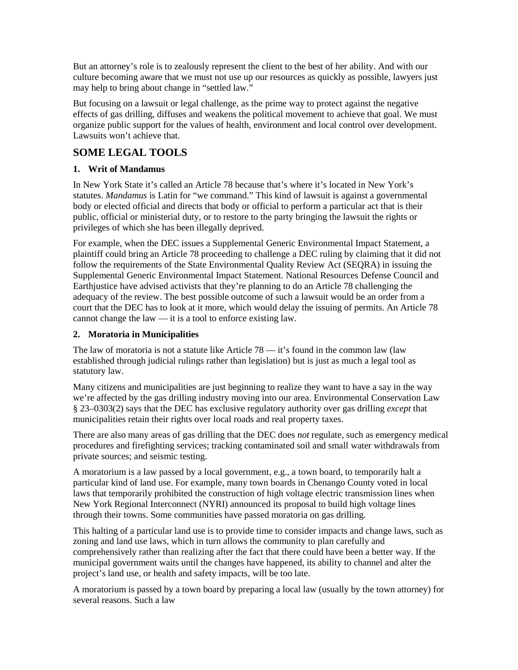But an attorney's role is to zealously represent the client to the best of her ability. And with our culture becoming aware that we must not use up our resources as quickly as possible, lawyers just may help to bring about change in "settled law."

But focusing on a lawsuit or legal challenge, as the prime way to protect against the negative effects of gas drilling, diffuses and weakens the political movement to achieve that goal. We must organize public support for the values of health, environment and local control over development. Lawsuits won't achieve that.

## **SOME LEGAL TOOLS**

#### **1. Writ of Mandamus**

In New York State it's called an Article 78 because that's where it's located in New York's statutes. *Mandamus* is Latin for "we command." This kind of lawsuit is against a governmental body or elected official and directs that body or official to perform a particular act that is their public, official or ministerial duty, or to restore to the party bringing the lawsuit the rights or privileges of which she has been illegally deprived.

For example, when the DEC issues a Supplemental Generic Environmental Impact Statement, a plaintiff could bring an Article 78 proceeding to challenge a DEC ruling by claiming that it did not follow the requirements of the State Environmental Quality Review Act (SEQRA) in issuing the Supplemental Generic Environmental Impact Statement. National Resources Defense Council and Earthjustice have advised activists that they're planning to do an Article 78 challenging the adequacy of the review. The best possible outcome of such a lawsuit would be an order from a court that the DEC has to look at it more, which would delay the issuing of permits. An Article 78 cannot change the law — it is a tool to enforce existing law.

#### **2. Moratoria in Municipalities**

The law of moratoria is not a statute like Article 78 — it's found in the common law (law established through judicial rulings rather than legislation) but is just as much a legal tool as statutory law.

Many citizens and municipalities are just beginning to realize they want to have a say in the way we're affected by the gas drilling industry moving into our area. Environmental Conservation Law § 23–0303(2) says that the DEC has exclusive regulatory authority over gas drilling *except* that municipalities retain their rights over local roads and real property taxes.

There are also many areas of gas drilling that the DEC does *not* regulate, such as emergency medical procedures and firefighting services; tracking contaminated soil and small water withdrawals from private sources; and seismic testing.

A moratorium is a law passed by a local government, e.g., a town board, to temporarily halt a particular kind of land use. For example, many town boards in Chenango County voted in local laws that temporarily prohibited the construction of high voltage electric transmission lines when New York Regional Interconnect (NYRI) announced its proposal to build high voltage lines through their towns. Some communities have passed moratoria on gas drilling.

This halting of a particular land use is to provide time to consider impacts and change laws, such as zoning and land use laws, which in turn allows the community to plan carefully and comprehensively rather than realizing after the fact that there could have been a better way. If the municipal government waits until the changes have happened, its ability to channel and alter the project's land use, or health and safety impacts, will be too late.

A moratorium is passed by a town board by preparing a local law (usually by the town attorney) for several reasons. Such a law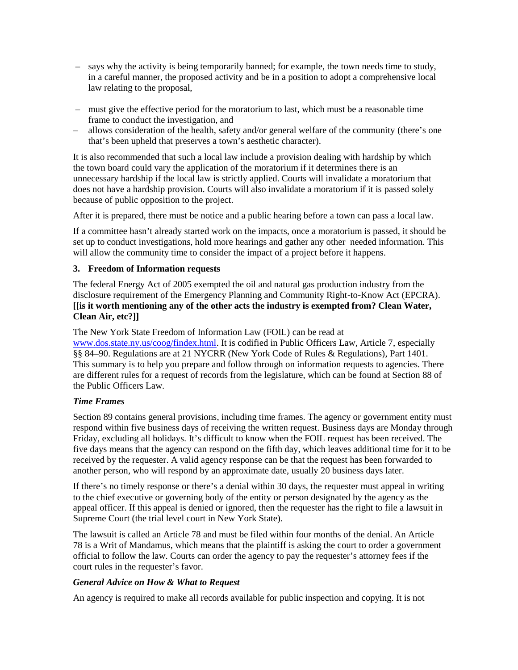- says why the activity is being temporarily banned; for example, the town needs time to study, in a careful manner, the proposed activity and be in a position to adopt a comprehensive local law relating to the proposal,
- must give the effective period for the moratorium to last, which must be a reasonable time frame to conduct the investigation, and
- allows consideration of the health, safety and/or general welfare of the community (there's one that's been upheld that preserves a town's aesthetic character).

It is also recommended that such a local law include a provision dealing with hardship by which the town board could vary the application of the moratorium if it determines there is an unnecessary hardship if the local law is strictly applied. Courts will invalidate a moratorium that does not have a hardship provision. Courts will also invalidate a moratorium if it is passed solely because of public opposition to the project.

After it is prepared, there must be notice and a public hearing before a town can pass a local law.

If a committee hasn't already started work on the impacts, once a moratorium is passed, it should be set up to conduct investigations, hold more hearings and gather any other needed information. This will allow the community time to consider the impact of a project before it happens.

#### **3. Freedom of Information requests**

The federal Energy Act of 2005 exempted the oil and natural gas production industry from the disclosure requirement of the Emergency Planning and Community Right-to-Know Act (EPCRA). **[[is it worth mentioning any of the other acts the industry is exempted from? Clean Water, Clean Air, etc?]]**

The New York State Freedom of Information Law (FOIL) can be read at [www.dos.state.ny.us/coog/findex.html.](http://www.dos.state.ny.us/coog/findex.html) It is codified in Public Officers Law, Article 7, especially §§ 84–90. Regulations are at 21 NYCRR (New York Code of Rules & Regulations), Part 1401. This summary is to help you prepare and follow through on information requests to agencies. There are different rules for a request of records from the legislature, which can be found at Section 88 of the Public Officers Law.

#### *Time Frames*

Section 89 contains general provisions, including time frames. The agency or government entity must respond within five business days of receiving the written request. Business days are Monday through Friday, excluding all holidays. It's difficult to know when the FOIL request has been received. The five days means that the agency can respond on the fifth day, which leaves additional time for it to be received by the requester. A valid agency response can be that the request has been forwarded to another person, who will respond by an approximate date, usually 20 business days later.

If there's no timely response or there's a denial within 30 days, the requester must appeal in writing to the chief executive or governing body of the entity or person designated by the agency as the appeal officer. If this appeal is denied or ignored, then the requester has the right to file a lawsuit in Supreme Court (the trial level court in New York State).

The lawsuit is called an Article 78 and must be filed within four months of the denial. An Article 78 is a Writ of Mandamus, which means that the plaintiff is asking the court to order a government official to follow the law. Courts can order the agency to pay the requester's attorney fees if the court rules in the requester's favor.

#### *General Advice on How & What to Request*

An agency is required to make all records available for public inspection and copying. It is not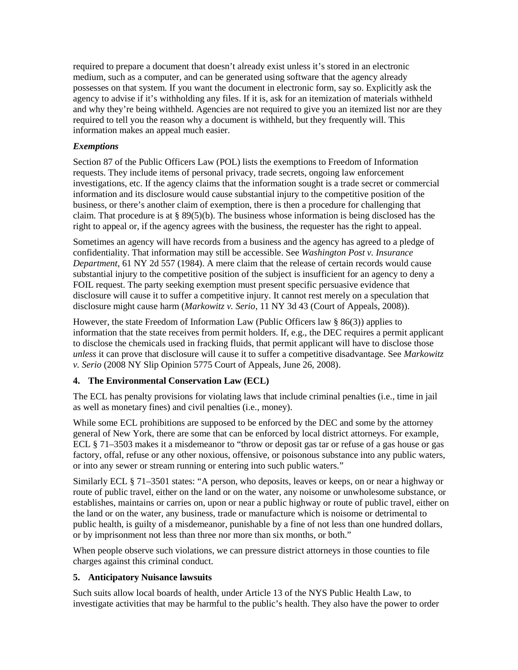required to prepare a document that doesn't already exist unless it's stored in an electronic medium, such as a computer, and can be generated using software that the agency already possesses on that system. If you want the document in electronic form, say so. Explicitly ask the agency to advise if it's withholding any files. If it is, ask for an itemization of materials withheld and why they're being withheld. Agencies are not required to give you an itemized list nor are they required to tell you the reason why a document is withheld, but they frequently will. This information makes an appeal much easier.

#### *Exemptions*

Section 87 of the Public Officers Law (POL) lists the exemptions to Freedom of Information requests. They include items of personal privacy, trade secrets, ongoing law enforcement investigations, etc. If the agency claims that the information sought is a trade secret or commercial information and its disclosure would cause substantial injury to the competitive position of the business, or there's another claim of exemption, there is then a procedure for challenging that claim. That procedure is at § 89(5)(b). The business whose information is being disclosed has the right to appeal or, if the agency agrees with the business, the requester has the right to appeal.

Sometimes an agency will have records from a business and the agency has agreed to a pledge of confidentiality. That information may still be accessible. See *Washington Post v. Insurance Department*, 61 NY 2d 557 (1984). A mere claim that the release of certain records would cause substantial injury to the competitive position of the subject is insufficient for an agency to deny a FOIL request. The party seeking exemption must present specific persuasive evidence that disclosure will cause it to suffer a competitive injury. It cannot rest merely on a speculation that disclosure might cause harm (*Markowitz v. Serio*, 11 NY 3d 43 (Court of Appeals, 2008)).

However, the state Freedom of Information Law (Public Officers law § 86(3)) applies to information that the state receives from permit holders. If, e.g., the DEC requires a permit applicant to disclose the chemicals used in fracking fluids, that permit applicant will have to disclose those *unless* it can prove that disclosure will cause it to suffer a competitive disadvantage. See *Markowitz v. Serio* (2008 NY Slip Opinion 5775 Court of Appeals, June 26, 2008).

#### **4. The Environmental Conservation Law (ECL)**

The ECL has penalty provisions for violating laws that include criminal penalties (i.e., time in jail as well as monetary fines) and civil penalties (i.e., money).

While some ECL prohibitions are supposed to be enforced by the DEC and some by the attorney general of New York, there are some that can be enforced by local district attorneys. For example, ECL § 71–3503 makes it a misdemeanor to "throw or deposit gas tar or refuse of a gas house or gas factory, offal, refuse or any other noxious, offensive, or poisonous substance into any public waters, or into any sewer or stream running or entering into such public waters."

Similarly ECL § 71–3501 states: "A person, who deposits, leaves or keeps, on or near a highway or route of public travel, either on the land or on the water, any noisome or unwholesome substance, or establishes, maintains or carries on, upon or near a public highway or route of public travel, either on the land or on the water, any business, trade or manufacture which is noisome or detrimental to public health, is guilty of a misdemeanor, punishable by a fine of not less than one hundred dollars, or by imprisonment not less than three nor more than six months, or both."

When people observe such violations, we can pressure district attorneys in those counties to file charges against this criminal conduct.

#### **5. Anticipatory Nuisance lawsuits**

Such suits allow local boards of health, under Article 13 of the NYS Public Health Law, to investigate activities that may be harmful to the public's health. They also have the power to order